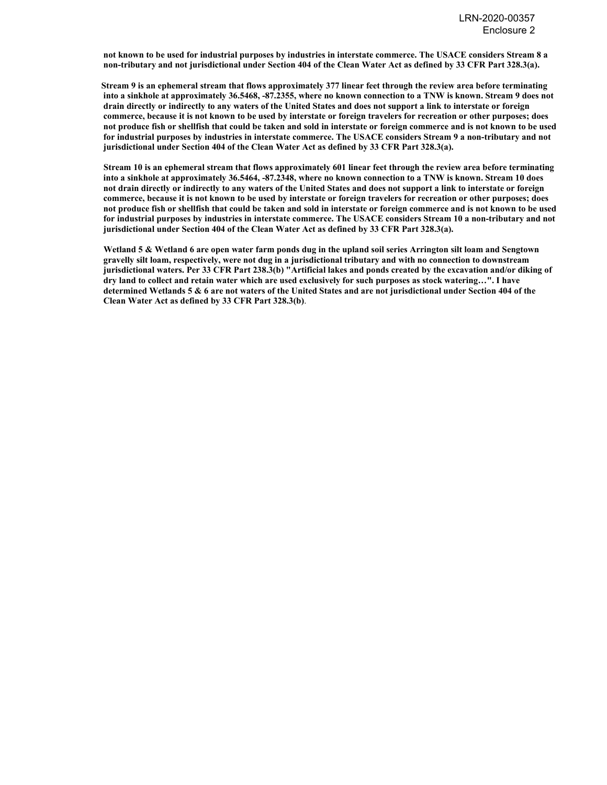**not known to be used for industrial purposes by industries in interstate commerce. The USACE considers Stream 8 a non-tributary and not jurisdictional under Section 404 of the Clean Water Act as defined by 33 CFR Part 328.3(a).**

 **Stream 9 is an ephemeral stream that flows approximately 377 linear feet through the review area before terminating into a sinkhole at approximately 36.5468, -87.2355, where no known connection to a TNW is known. Stream 9 does not drain directly or indirectly to any waters of the United States and does not support a link to interstate or foreign commerce, because it is not known to be used by interstate or foreign travelers for recreation or other purposes; does not produce fish or shellfish that could be taken and sold in interstate or foreign commerce and is not known to be used for industrial purposes by industries in interstate commerce. The USACE considers Stream 9 a non-tributary and not jurisdictional under Section 404 of the Clean Water Act as defined by 33 CFR Part 328.3(a).**

 **Stream 10 is an ephemeral stream that flows approximately 601 linear feet through the review area before terminating into a sinkhole at approximately 36.5464, -87.2348, where no known connection to a TNW is known. Stream 10 does not drain directly or indirectly to any waters of the United States and does not support a link to interstate or foreign commerce, because it is not known to be used by interstate or foreign travelers for recreation or other purposes; does not produce fish or shellfish that could be taken and sold in interstate or foreign commerce and is not known to be used for industrial purposes by industries in interstate commerce. The USACE considers Stream 10 a non-tributary and not jurisdictional under Section 404 of the Clean Water Act as defined by 33 CFR Part 328.3(a).**

 **Wetland 5 & Wetland 6 are open water farm ponds dug in the upland soil series Arrington silt loam and Sengtown gravelly silt loam, respectively, were not dug in a jurisdictional tributary and with no connection to downstream jurisdictional waters. Per 33 CFR Part 238.3(b) "Artificial lakes and ponds created by the excavation and/or diking of dry land to collect and retain water which are used exclusively for such purposes as stock watering…". I have determined Wetlands 5 & 6 are not waters of the United States and are not jurisdictional under Section 404 of the Clean Water Act as defined by 33 CFR Part 328.3(b)**.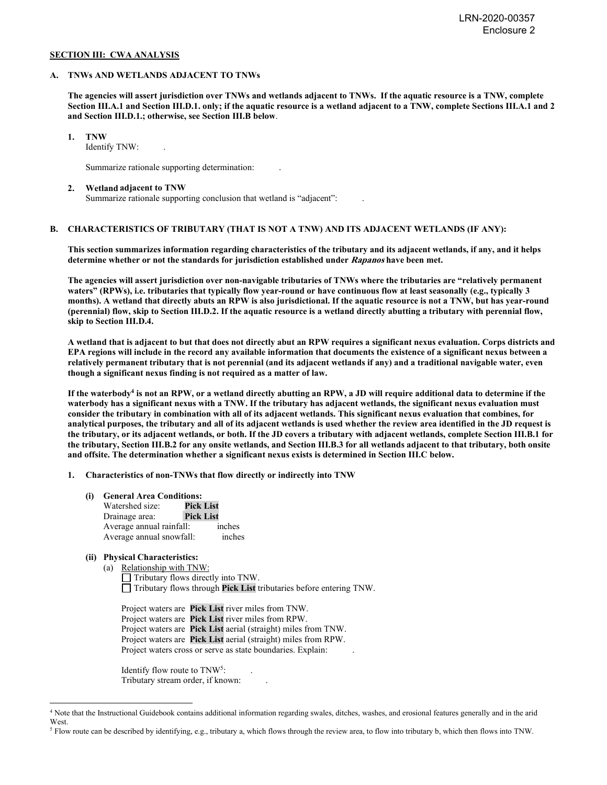### **SECTION III: CWA ANALYSIS**

### **A. TNWs AND WETLANDS ADJACENT TO TNWs**

**The agencies will assert jurisdiction over TNWs and wetlands adjacent to TNWs. If the aquatic resource is a TNW, complete Section III.A.1 and Section III.D.1. only; if the aquatic resource is a wetland adjacent to a TNW, complete Sections III.A.1 and 2 and Section III.D.1.; otherwise, see Section III.B below**.

 **1. TNW** 

Identify TNW:

Summarize rationale supporting determination: .

#### **2. Wetland adjacent to TNW**

Summarize rationale supporting conclusion that wetland is "adjacent":

## **B. CHARACTERISTICS OF TRIBUTARY (THAT IS NOT A TNW) AND ITS ADJACENT WETLANDS (IF ANY):**

 **This section summarizes information regarding characteristics of the tributary and its adjacent wetlands, if any, and it helps determine whether or not the standards for jurisdiction established under Rapanos have been met.** 

 **The agencies will assert jurisdiction over non-navigable tributaries of TNWs where the tributaries are "relatively permanent waters" (RPWs), i.e. tributaries that typically flow year-round or have continuous flow at least seasonally (e.g., typically 3 months). A wetland that directly abuts an RPW is also jurisdictional. If the aquatic resource is not a TNW, but has year-round (perennial) flow, skip to Section III.D.2. If the aquatic resource is a wetland directly abutting a tributary with perennial flow, skip to Section III.D.4.** 

**A wetland that is adjacent to but that does not directly abut an RPW requires a significant nexus evaluation. Corps districts and EPA regions will include in the record any available information that documents the existence of a significant nexus between a relatively permanent tributary that is not perennial (and its adjacent wetlands if any) and a traditional navigable water, even though a significant nexus finding is not required as a matter of law.** 

**If the waterbody4 is not an RPW, or a wetland directly abutting an RPW, a JD will require additional data to determine if the waterbody has a significant nexus with a TNW. If the tributary has adjacent wetlands, the significant nexus evaluation must consider the tributary in combination with all of its adjacent wetlands. This significant nexus evaluation that combines, for analytical purposes, the tributary and all of its adjacent wetlands is used whether the review area identified in the JD request is the tributary, or its adjacent wetlands, or both. If the JD covers a tributary with adjacent wetlands, complete Section III.B.1 for the tributary, Section III.B.2 for any onsite wetlands, and Section III.B.3 for all wetlands adjacent to that tributary, both onsite and offsite. The determination whether a significant nexus exists is determined in Section III.C below.** 

 **1. Characteristics of non-TNWs that flow directly or indirectly into TNW**

 **(i) General Area Conditions:**

| Watershed size:          | <b>Pick List</b> |
|--------------------------|------------------|
| Drainage area:           | <b>Pick List</b> |
| Average annual rainfall: | inches           |
| Average annual snowfall: | inches           |

## **(ii) Physical Characteristics:**

(a) Relationship with TNW: Tributary flows directly into TNW. Tributary flows through **Pick List** tributaries before entering TNW.

Project waters are **Pick List** river miles from TNW. Project waters are **Pick List** river miles from RPW. Project waters are **Pick List** aerial (straight) miles from TNW. Project waters are **Pick List** aerial (straight) miles from RPW. Project waters cross or serve as state boundaries. Explain:

Identify flow route to TNW<sup>5</sup>: Tributary stream order, if known: .

<sup>4</sup> Note that the Instructional Guidebook contains additional information regarding swales, ditches, washes, and erosional features generally and in the arid West.

<sup>5</sup> Flow route can be described by identifying, e.g., tributary a, which flows through the review area, to flow into tributary b, which then flows into TNW.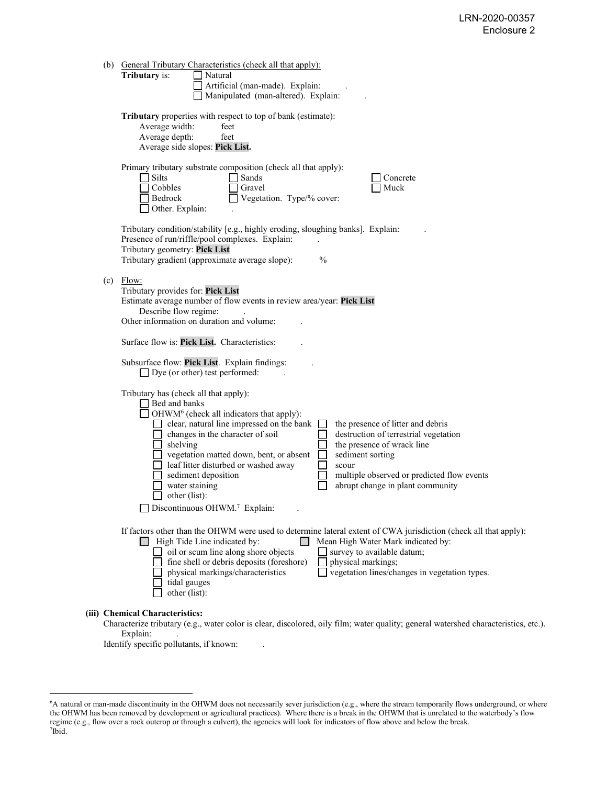| (b) | <b>General Tributary Characteristics (check all that apply):</b><br>Tributary is:<br>Natural<br>Artificial (man-made). Explain:<br>Manipulated (man-altered). Explain:                                                                                                                                                                                                                                                                                                                                                                                                                                                                                             |
|-----|--------------------------------------------------------------------------------------------------------------------------------------------------------------------------------------------------------------------------------------------------------------------------------------------------------------------------------------------------------------------------------------------------------------------------------------------------------------------------------------------------------------------------------------------------------------------------------------------------------------------------------------------------------------------|
|     | Tributary properties with respect to top of bank (estimate):<br>Average width:<br>feet<br>Average depth:<br>feet<br>Average side slopes: Pick List.                                                                                                                                                                                                                                                                                                                                                                                                                                                                                                                |
|     | Primary tributary substrate composition (check all that apply):<br>Silts<br>Sands<br>$\blacksquare$<br>Concrete<br>Cobbles<br>Gravel<br>Muck<br>Bedrock<br>Vegetation. Type/% cover:<br>Other. Explain:                                                                                                                                                                                                                                                                                                                                                                                                                                                            |
|     | Tributary condition/stability [e.g., highly eroding, sloughing banks]. Explain:<br>Presence of run/riffle/pool complexes. Explain:<br>Tributary geometry: Pick List<br>Tributary gradient (approximate average slope):<br>$\frac{0}{0}$                                                                                                                                                                                                                                                                                                                                                                                                                            |
| (c) | Flow:<br>Tributary provides for: Pick List<br>Estimate average number of flow events in review area/year: Pick List<br>Describe flow regime:<br>Other information on duration and volume:                                                                                                                                                                                                                                                                                                                                                                                                                                                                          |
|     | Surface flow is: Pick List. Characteristics:                                                                                                                                                                                                                                                                                                                                                                                                                                                                                                                                                                                                                       |
|     | Subsurface flow: Pick List. Explain findings:<br>$\Box$ Dye (or other) test performed:                                                                                                                                                                                                                                                                                                                                                                                                                                                                                                                                                                             |
|     | Tributary has (check all that apply):<br>Bed and banks<br>$\Box$ OHWM <sup>6</sup> (check all indicators that apply):<br>clear, natural line impressed on the bank<br>the presence of litter and debris<br>destruction of terrestrial vegetation<br>changes in the character of soil<br>the presence of wrack line<br>shelving<br>vegetation matted down, bent, or absent<br>$\Box$<br>sediment sorting<br>$\Box$<br>leaf litter disturbed or washed away<br>scour<br>sediment deposition<br>multiple observed or predicted flow events<br>abrupt change in plant community<br>water staining<br>other (list):<br>$\Box$ Discontinuous OHWM. <sup>7</sup> Explain: |
|     | If factors other than the OHWM were used to determine lateral extent of CWA jurisdiction (check all that apply):<br>$\Box$ High Tide Line indicated by:<br>Mean High Water Mark indicated by:<br>oil or scum line along shore objects<br>survey to available datum;<br>fine shell or debris deposits (foreshore)<br>physical markings;<br>vegetation lines/changes in vegetation types.<br>physical markings/characteristics<br>tidal gauges<br>other (list):                                                                                                                                                                                                      |
|     | (iii) Chemical Characteristics:                                                                                                                                                                                                                                                                                                                                                                                                                                                                                                                                                                                                                                    |

Characterize tributary (e.g., water color is clear, discolored, oily film; water quality; general watershed characteristics, etc.). Explain:

Identify specific pollutants, if known:

<sup>6</sup> A natural or man-made discontinuity in the OHWM does not necessarily sever jurisdiction (e.g., where the stream temporarily flows underground, or where the OHWM has been removed by development or agricultural practices). Where there is a break in the OHWM that is unrelated to the waterbody's flow regime (e.g., flow over a rock outcrop or through a culvert), the agencies will look for indicators of flow above and below the break. 7 Ibid.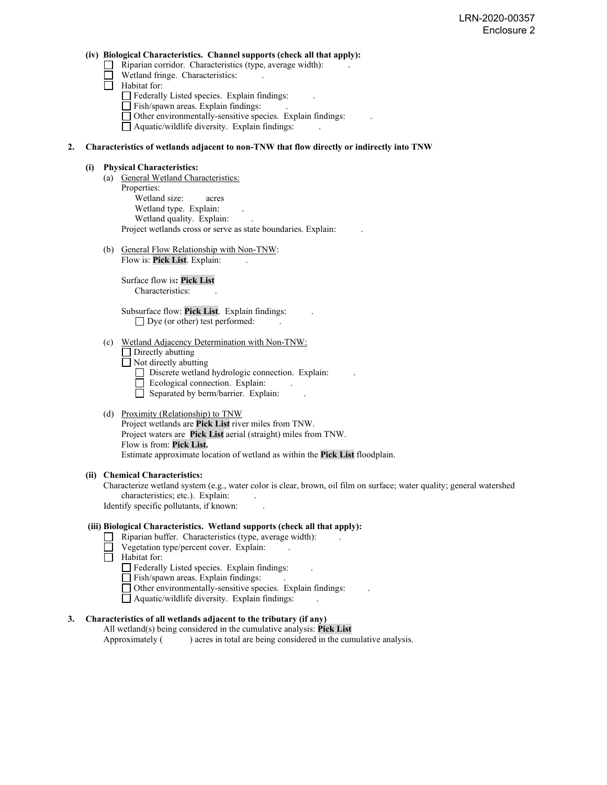### **(iv) Biological Characteristics. Channel supports (check all that apply):**

- $\Box$  Riparian corridor. Characteristics (type, average width):
- Wetland fringe. Characteristics:
- $\Box$  Habitat for:
	- Federally Listed species. Explain findings:
	- $\Box$  Fish/spawn areas. Explain findings:
	- Other environmentally-sensitive species. Explain findings: .
	- Aquatic/wildlife diversity. Explain findings: .

## **2. Characteristics of wetlands adjacent to non-TNW that flow directly or indirectly into TNW**

### **(i) Physical Characteristics:**

- (a) General Wetland Characteristics: Properties: Wetland size: acres Wetland type. Explain: Wetland quality. Explain: Project wetlands cross or serve as state boundaries. Explain: .
- (b) General Flow Relationship with Non-TNW: Flow is: **Pick List**. Explain: .

 Surface flow is**: Pick List**  Characteristics:

 Subsurface flow: **Pick List**. Explain findings: .  $\Box$  Dye (or other) test performed:

### (c) Wetland Adjacency Determination with Non-TNW:

□ Directly abutting

Not directly abutting

- Discrete wetland hydrologic connection. Explain:
- Ecological connection. Explain:
- $\Box$  Separated by berm/barrier. Explain:

## (d) Proximity (Relationship) to TNW

Project wetlands are **Pick List** river miles from TNW. Project waters are **Pick List** aerial (straight) miles from TNW. Flow is from: **Pick List.** Estimate approximate location of wetland as within the **Pick List** floodplain.

## **(ii) Chemical Characteristics:**

Characterize wetland system (e.g., water color is clear, brown, oil film on surface; water quality; general watershed characteristics; etc.). Explain: Identify specific pollutants, if known: .

# **(iii) Biological Characteristics. Wetland supports (check all that apply):**

- $\Box$  Riparian buffer. Characteristics (type, average width):
- Vegetation type/percent cover. Explain:
- $\Box$  Habitat for:
	- $\Box$  Federally Listed species. Explain findings:
	- Fish/spawn areas. Explain findings: .
	- Other environmentally-sensitive species. Explain findings: .
	- $\Box$  Aquatic/wildlife diversity. Explain findings:

## **3. Characteristics of all wetlands adjacent to the tributary (if any)**

All wetland(s) being considered in the cumulative analysis: **Pick List** Approximately ( ) acres in total are being considered in the cumulative analysis.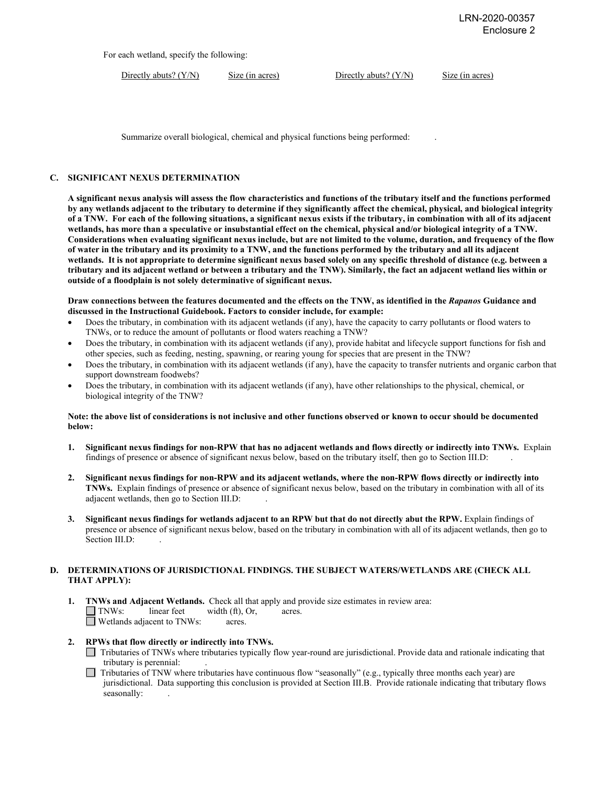For each wetland, specify the following:

Directly abuts? (Y/N) Size (in acres) Directly abuts? (Y/N) Size (in acres)

Summarize overall biological, chemical and physical functions being performed: .

## **C. SIGNIFICANT NEXUS DETERMINATION**

**A significant nexus analysis will assess the flow characteristics and functions of the tributary itself and the functions performed by any wetlands adjacent to the tributary to determine if they significantly affect the chemical, physical, and biological integrity of a TNW. For each of the following situations, a significant nexus exists if the tributary, in combination with all of its adjacent wetlands, has more than a speculative or insubstantial effect on the chemical, physical and/or biological integrity of a TNW. Considerations when evaluating significant nexus include, but are not limited to the volume, duration, and frequency of the flow of water in the tributary and its proximity to a TNW, and the functions performed by the tributary and all its adjacent wetlands. It is not appropriate to determine significant nexus based solely on any specific threshold of distance (e.g. between a tributary and its adjacent wetland or between a tributary and the TNW). Similarly, the fact an adjacent wetland lies within or outside of a floodplain is not solely determinative of significant nexus.** 

**Draw connections between the features documented and the effects on the TNW, as identified in the** *Rapanos* **Guidance and discussed in the Instructional Guidebook. Factors to consider include, for example:**

- Does the tributary, in combination with its adjacent wetlands (if any), have the capacity to carry pollutants or flood waters to TNWs, or to reduce the amount of pollutants or flood waters reaching a TNW?
- Does the tributary, in combination with its adjacent wetlands (if any), provide habitat and lifecycle support functions for fish and other species, such as feeding, nesting, spawning, or rearing young for species that are present in the TNW?
- Does the tributary, in combination with its adjacent wetlands (if any), have the capacity to transfer nutrients and organic carbon that support downstream foodwebs?
- Does the tributary, in combination with its adjacent wetlands (if any), have other relationships to the physical, chemical, or biological integrity of the TNW?

### **Note: the above list of considerations is not inclusive and other functions observed or known to occur should be documented below:**

- **1. Significant nexus findings for non-RPW that has no adjacent wetlands and flows directly or indirectly into TNWs.** Explain findings of presence or absence of significant nexus below, based on the tributary itself, then go to Section III.D: .
- **2. Significant nexus findings for non-RPW and its adjacent wetlands, where the non-RPW flows directly or indirectly into TNWs.** Explain findings of presence or absence of significant nexus below, based on the tributary in combination with all of its adjacent wetlands, then go to Section III.D: .
- **3. Significant nexus findings for wetlands adjacent to an RPW but that do not directly abut the RPW.** Explain findings of presence or absence of significant nexus below, based on the tributary in combination with all of its adjacent wetlands, then go to Section III.D:

## **D. DETERMINATIONS OF JURISDICTIONAL FINDINGS. THE SUBJECT WATERS/WETLANDS ARE (CHECK ALL THAT APPLY):**

- **1. INWs and Adjacent Wetlands.** Check all that apply and provide size estimates in review area:<br> **INWs:** linear feet width (ft), Or, acres. width (ft), Or, acres.  $\Box$  Wetlands adjacent to TNWs: acres.
- **2. RPWs that flow directly or indirectly into TNWs.** 
	- Tributaries of TNWs where tributaries typically flow year-round are jurisdictional. Provide data and rationale indicating that tributary is perennial: .
	- $\Box$  Tributaries of TNW where tributaries have continuous flow "seasonally" (e.g., typically three months each year) are jurisdictional. Data supporting this conclusion is provided at Section III.B. Provide rationale indicating that tributary flows seasonally: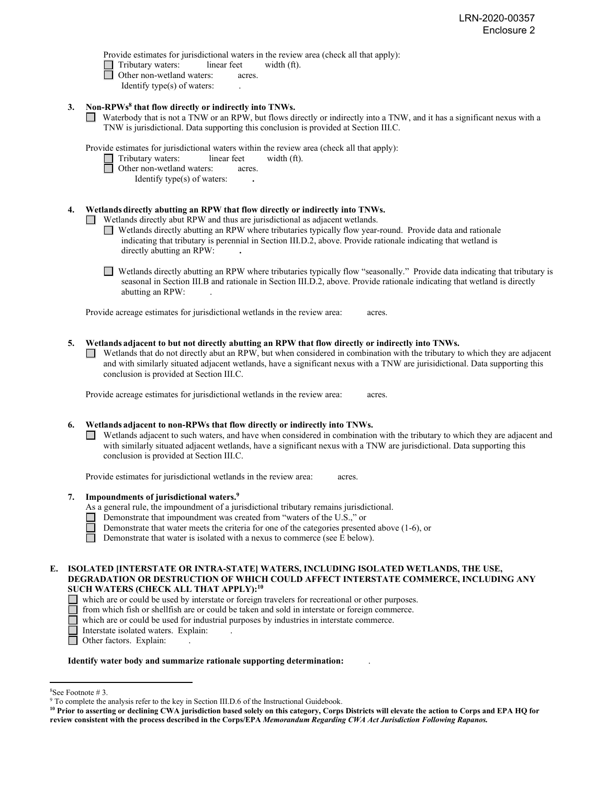Provide estimates for jurisdictional waters in the review area (check all that apply):

- Tributary waters:linear feetwidth (ft).
- $\Box$  Other non-wetland waters: acres.
	- Identify type(s) of waters: .
- **3. Non-RPWs8 that flow directly or indirectly into TNWs.**
	- Waterbody that is not a TNW or an RPW, but flows directly or indirectly into a TNW, and it has a significant nexus with a TNW is jurisdictional. Data supporting this conclusion is provided at Section III.C.

Provide estimates for jurisdictional waters within the review area (check all that apply):

- Tributary waters:linear feetwidth (ft).
- □ Other non-wetland waters: acres.
	- Identify type(s) of waters: **.**

## **4. Wetlands directly abutting an RPW that flow directly or indirectly into TNWs.**

**I** Wetlands directly abut RPW and thus are jurisdictional as adjacent wetlands.

- Wetlands directly abutting an RPW where tributaries typically flow year-round. Provide data and rationale indicating that tributary is perennial in Section III.D.2, above. Provide rationale indicating that wetland is directly abutting an RPW: **.**
- Wetlands directly abutting an RPW where tributaries typically flow "seasonally." Provide data indicating that tributary is seasonal in Section III.B and rationale in Section III.D.2, above. Provide rationale indicating that wetland is directly abutting an RPW: .

Provide acreage estimates for jurisdictional wetlands in the review area:acres.

## **5. Wetlands adjacent to but not directly abutting an RPW that flow directly or indirectly into TNWs.**

 $\Box$  Wetlands that do not directly abut an RPW, but when considered in combination with the tributary to which they are adjacent and with similarly situated adjacent wetlands, have a significant nexus with a TNW are jurisidictional. Data supporting this conclusion is provided at Section III.C.

Provide acreage estimates for jurisdictional wetlands in the review area:acres.

## **6. Wetlands adjacent to non-RPWs that flow directly or indirectly into TNWs.**

Wetlands adjacent to such waters, and have when considered in combination with the tributary to which they are adjacent and with similarly situated adjacent wetlands, have a significant nexus with a TNW are jurisdictional. Data supporting this conclusion is provided at Section III.C.

Provide estimates for jurisdictional wetlands in the review area:acres.

- **7. Impoundments of jurisdictional waters. 9**
	- As a general rule, the impoundment of a jurisdictional tributary remains jurisdictional.
		- Demonstrate that impoundment was created from "waters of the U.S.," or
		- Demonstrate that water meets the criteria for one of the categories presented above (1-6), or
	- Demonstrate that water is isolated with a nexus to commerce (see E below).

#### **E. ISOLATED [INTERSTATE OR INTRA-STATE] WATERS, INCLUDING ISOLATED WETLANDS, THE USE, DEGRADATION OR DESTRUCTION OF WHICH COULD AFFECT INTERSTATE COMMERCE, INCLUDING ANY SUCH WATERS (CHECK ALL THAT APPLY):10** П

- which are or could be used by interstate or foreign travelers for recreational or other purposes.
- Ē from which fish or shellfish are or could be taken and sold in interstate or foreign commerce.
- $\Box$ which are or could be used for industrial purposes by industries in interstate commerce.
- Interstate isolated waters.Explain: .
- □ Other factors. Explain:

## **Identify water body and summarize rationale supporting determination:** .

<sup>&</sup>lt;sup>8</sup>See Footnote #3.

 $9$  To complete the analysis refer to the key in Section III.D.6 of the Instructional Guidebook.

**<sup>10</sup> Prior to asserting or declining CWA jurisdiction based solely on this category, Corps Districts will elevate the action to Corps and EPA HQ for review consistent with the process described in the Corps/EPA** *Memorandum Regarding CWA Act Jurisdiction Following Rapanos.*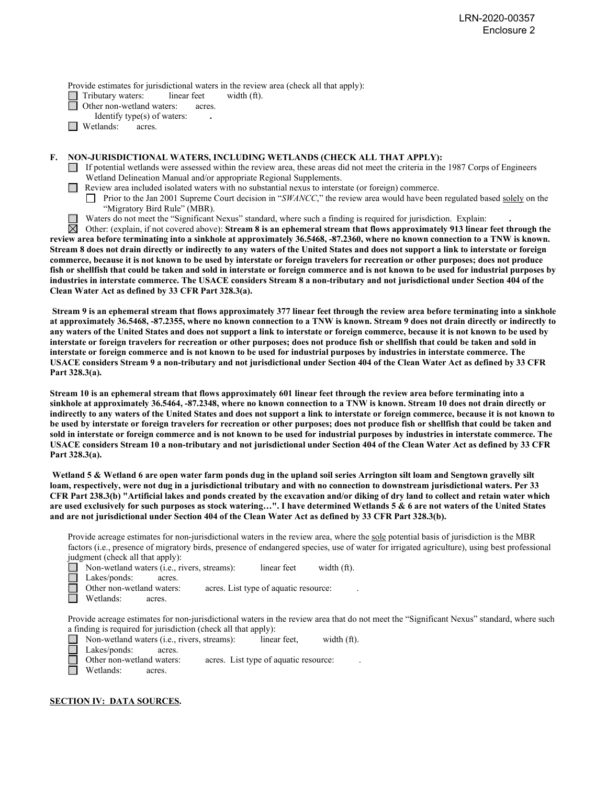Provide estimates for jurisdictional waters in the review area (check all that apply):

Tributary waters: linear feet width (ft).

Other non-wetland waters: acres.

Identify type(s) of waters: **.** 

 $\Box$  Wetlands: acres.

## **F. NON-JURISDICTIONAL WATERS, INCLUDING WETLANDS (CHECK ALL THAT APPLY):**

- $\Box$  If potential wetlands were assessed within the review area, these areas did not meet the criteria in the 1987 Corps of Engineers Wetland Delineation Manual and/or appropriate Regional Supplements.
- **Review area included isolated waters with no substantial nexus to interstate (or foreign) commerce.** 
	- Prior to the Jan 2001 Supreme Court decision in "*SWANCC*," the review area would have been regulated based solely on the "Migratory Bird Rule" (MBR).
	- Waters do not meet the "Significant Nexus" standard, where such a finding is required for jurisdiction. Explain:

Other: (explain, if not covered above): **Stream 8 is an ephemeral stream that flows approximately 913 linear feet through the review area before terminating into a sinkhole at approximately 36.5468, -87.2360, where no known connection to a TNW is known. Stream 8 does not drain directly or indirectly to any waters of the United States and does not support a link to interstate or foreign commerce, because it is not known to be used by interstate or foreign travelers for recreation or other purposes; does not produce fish or shellfish that could be taken and sold in interstate or foreign commerce and is not known to be used for industrial purposes by industries in interstate commerce. The USACE considers Stream 8 a non-tributary and not jurisdictional under Section 404 of the Clean Water Act as defined by 33 CFR Part 328.3(a).**

**Stream 9 is an ephemeral stream that flows approximately 377 linear feet through the review area before terminating into a sinkhole at approximately 36.5468, -87.2355, where no known connection to a TNW is known. Stream 9 does not drain directly or indirectly to any waters of the United States and does not support a link to interstate or foreign commerce, because it is not known to be used by interstate or foreign travelers for recreation or other purposes; does not produce fish or shellfish that could be taken and sold in interstate or foreign commerce and is not known to be used for industrial purposes by industries in interstate commerce. The USACE considers Stream 9 a non-tributary and not jurisdictional under Section 404 of the Clean Water Act as defined by 33 CFR Part 328.3(a).**

**Stream 10 is an ephemeral stream that flows approximately 601 linear feet through the review area before terminating into a sinkhole at approximately 36.5464, -87.2348, where no known connection to a TNW is known. Stream 10 does not drain directly or indirectly to any waters of the United States and does not support a link to interstate or foreign commerce, because it is not known to be used by interstate or foreign travelers for recreation or other purposes; does not produce fish or shellfish that could be taken and sold in interstate or foreign commerce and is not known to be used for industrial purposes by industries in interstate commerce. The USACE considers Stream 10 a non-tributary and not jurisdictional under Section 404 of the Clean Water Act as defined by 33 CFR Part 328.3(a).**

**Wetland 5 & Wetland 6 are open water farm ponds dug in the upland soil series Arrington silt loam and Sengtown gravelly silt loam, respectively, were not dug in a jurisdictional tributary and with no connection to downstream jurisdictional waters. Per 33 CFR Part 238.3(b) "Artificial lakes and ponds created by the excavation and/or diking of dry land to collect and retain water which are used exclusively for such purposes as stock watering…". I have determined Wetlands 5 & 6 are not waters of the United States and are not jurisdictional under Section 404 of the Clean Water Act as defined by 33 CFR Part 328.3(b).**

Provide acreage estimates for non-jurisdictional waters in the review area, where the sole potential basis of jurisdiction is the MBR factors (i.e., presence of migratory birds, presence of endangered species, use of water for irrigated agriculture), using best professional judgment (check all that apply):

■ Non-wetland waters (i.e., rivers, streams): linear feet width (ft).

Lakes/ponds: acres.

Other non-wetland waters: acres. List type of aquatic resource:

Wetlands: acres.

Provide acreage estimates for non-jurisdictional waters in the review area that do not meet the "Significant Nexus" standard, where such a finding is required for jurisdiction (check all that apply):

Non-wetland waters (i.e., rivers, streams):linear feet,width (ft). Lakes/ponds: Other non-wetland waters: acres. List type of aquatic resource: П Wetlands: acres.

### **SECTION IV: DATA SOURCES.**